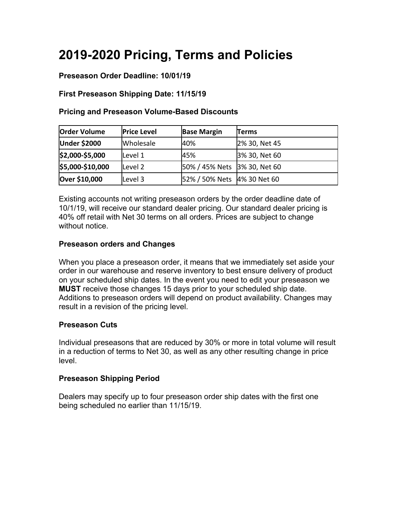# **2019-2020 Pricing, Terms and Policies**

# **Preseason Order Deadline: 10/01/19**

# **First Preseason Shipping Date: 11/15/19**

# **Pricing and Preseason Volume-Based Discounts**

| <b>Order Volume</b> | <b>Price Level</b> | <b>Base Margin</b>           | Terms         |
|---------------------|--------------------|------------------------------|---------------|
| <b>Under \$2000</b> | Wholesale          | 40%                          | 2% 30, Net 45 |
| \$2,000-\$5,000     | Level 1            | 45%                          | 3% 30, Net 60 |
| \$5,000-\$10,000    | Level 2            | 50% / 45% Nets 3% 30, Net 60 |               |
| Over \$10,000       | Level 3            | 52% / 50% Nets 4% 30 Net 60  |               |

Existing accounts not writing preseason orders by the order deadline date of 10/1/19, will receive our standard dealer pricing. Our standard dealer pricing is 40% off retail with Net 30 terms on all orders. Prices are subject to change without notice.

#### **Preseason orders and Changes**

When you place a preseason order, it means that we immediately set aside your order in our warehouse and reserve inventory to best ensure delivery of product on your scheduled ship dates. In the event you need to edit your preseason we **MUST** receive those changes 15 days prior to your scheduled ship date. Additions to preseason orders will depend on product availability. Changes may result in a revision of the pricing level.

#### **Preseason Cuts**

Individual preseasons that are reduced by 30% or more in total volume will result in a reduction of terms to Net 30, as well as any other resulting change in price level.

# **Preseason Shipping Period**

Dealers may specify up to four preseason order ship dates with the first one being scheduled no earlier than 11/15/19.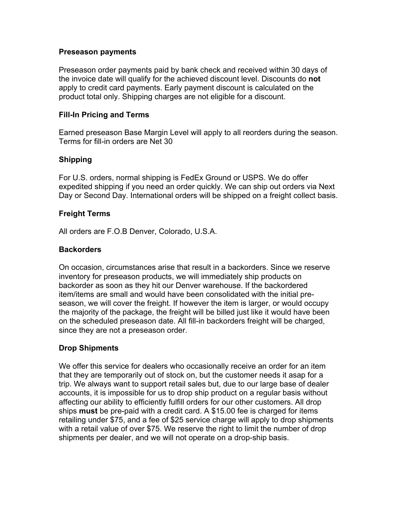#### **Preseason payments**

Preseason order payments paid by bank check and received within 30 days of the invoice date will qualify for the achieved discount level. Discounts do **not**  apply to credit card payments. Early payment discount is calculated on the product total only. Shipping charges are not eligible for a discount.

#### **Fill-In Pricing and Terms**

Earned preseason Base Margin Level will apply to all reorders during the season. Terms for fill-in orders are Net 30

### **Shipping**

For U.S. orders, normal shipping is FedEx Ground or USPS. We do offer expedited shipping if you need an order quickly. We can ship out orders via Next Day or Second Day. International orders will be shipped on a freight collect basis.

#### **Freight Terms**

All orders are F.O.B Denver, Colorado, U.S.A.

#### **Backorders**

On occasion, circumstances arise that result in a backorders. Since we reserve inventory for preseason products, we will immediately ship products on backorder as soon as they hit our Denver warehouse. If the backordered item/items are small and would have been consolidated with the initial preseason, we will cover the freight. If however the item is larger, or would occupy the majority of the package, the freight will be billed just like it would have been on the scheduled preseason date. All fill-in backorders freight will be charged, since they are not a preseason order.

#### **Drop Shipments**

We offer this service for dealers who occasionally receive an order for an item that they are temporarily out of stock on, but the customer needs it asap for a trip. We always want to support retail sales but, due to our large base of dealer accounts, it is impossible for us to drop ship product on a regular basis without affecting our ability to efficiently fulfill orders for our other customers. All drop ships **must** be pre-paid with a credit card. A \$15.00 fee is charged for items retailing under \$75, and a fee of \$25 service charge will apply to drop shipments with a retail value of over \$75. We reserve the right to limit the number of drop shipments per dealer, and we will not operate on a drop-ship basis.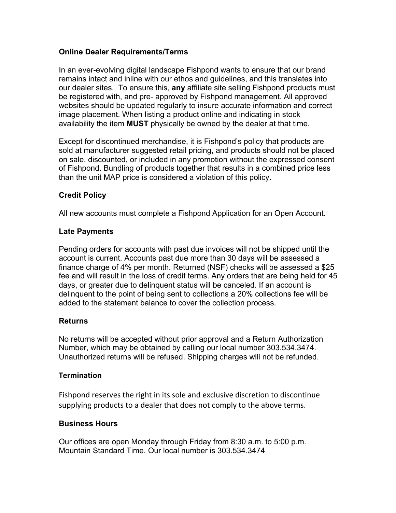# **Online Dealer Requirements/Terms**

In an ever-evolving digital landscape Fishpond wants to ensure that our brand remains intact and inline with our ethos and guidelines, and this translates into our dealer sites. To ensure this, **any** affiliate site selling Fishpond products must be registered with, and pre- approved by Fishpond management. All approved websites should be updated regularly to insure accurate information and correct image placement. When listing a product online and indicating in stock availability the item **MUST** physically be owned by the dealer at that time.

Except for discontinued merchandise, it is Fishpond's policy that products are sold at manufacturer suggested retail pricing, and products should not be placed on sale, discounted, or included in any promotion without the expressed consent of Fishpond. Bundling of products together that results in a combined price less than the unit MAP price is considered a violation of this policy.

# **Credit Policy**

All new accounts must complete a Fishpond Application for an Open Account.

# **Late Payments**

Pending orders for accounts with past due invoices will not be shipped until the account is current. Accounts past due more than 30 days will be assessed a finance charge of 4% per month. Returned (NSF) checks will be assessed a \$25 fee and will result in the loss of credit terms. Any orders that are being held for 45 days, or greater due to delinquent status will be canceled. If an account is delinquent to the point of being sent to collections a 20% collections fee will be added to the statement balance to cover the collection process.

# **Returns**

No returns will be accepted without prior approval and a Return Authorization Number, which may be obtained by calling our local number 303.534.3474. Unauthorized returns will be refused. Shipping charges will not be refunded.

#### **Termination**

Fishpond reserves the right in its sole and exclusive discretion to discontinue supplying products to a dealer that does not comply to the above terms.

#### **Business Hours**

Our offices are open Monday through Friday from 8:30 a.m. to 5:00 p.m. Mountain Standard Time. Our local number is 303.534.3474